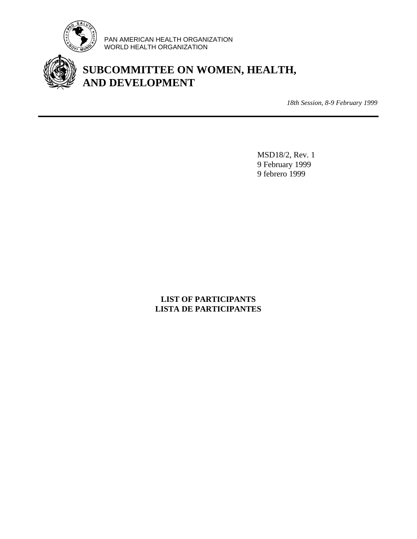

PAN AMERICAN HEALTH ORGANIZATION WORLD HEALTH ORGANIZATION

# **SUBCOMMITTEE ON WOMEN, HEALTH, AND DEVELOPMENT**

*18th Session, 8-9 February 1999*

MSD18/2, Rev. 1 9 February 1999 9 febrero 1999

### **LIST OF PARTICIPANTS LISTA DE PARTICIPANTES**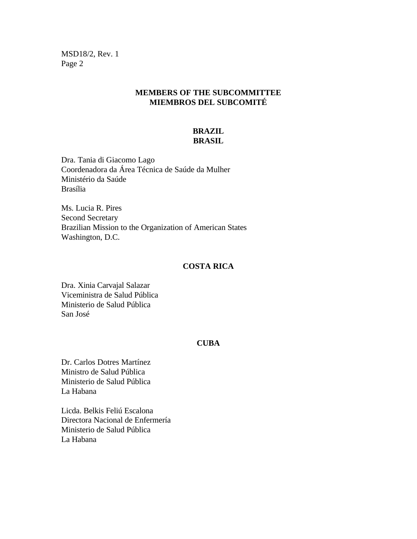### **MEMBERS OF THE SUBCOMMITTEE MIEMBROS DEL SUBCOMITÉ**

### **BRAZIL BRASIL**

Dra. Tania di Giacomo Lago Coordenadora da Área Técnica de Saúde da Mulher Ministério da Saúde Brasília

Ms. Lucia R. Pires Second Secretary Brazilian Mission to the Organization of American States Washington, D.C.

#### **COSTA RICA**

Dra. Xinia Carvajal Salazar Viceministra de Salud Pública Ministerio de Salud Pública San José

#### **CUBA**

Dr. Carlos Dotres Martínez Ministro de Salud Pública Ministerio de Salud Pública La Habana

Licda. Belkis Feliú Escalona Directora Nacional de Enfermería Ministerio de Salud Pública La Habana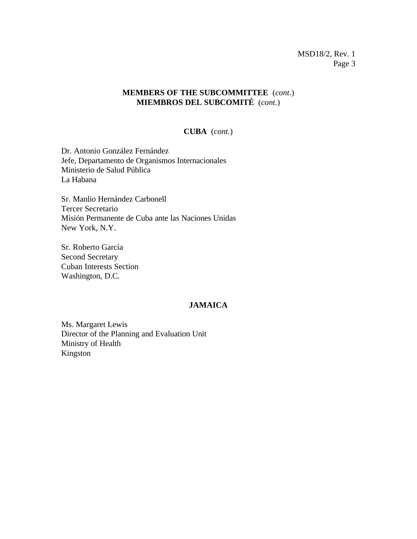### **MEMBERS OF THE SUBCOMMITTEE** (*cont*.) **MIEMBROS DEL SUBCOMITÉ** (*cont*.)

#### **CUBA** (*cont.*)

Dr. Antonio González Fernández Jefe, Departamento de Organismos Internacionales Ministerio de Salud Pública La Habana

Sr. Manlio Hernández Carbonell Tercer Secretario Misión Permanente de Cuba ante las Naciones Unidas New York, N.Y.

Sr. Roberto García Second Secretary Cuban Interests Section Washington, D.C.

#### **JAMAICA**

Ms. Margaret Lewis Director of the Planning and Evaluation Unit Ministry of Health Kingston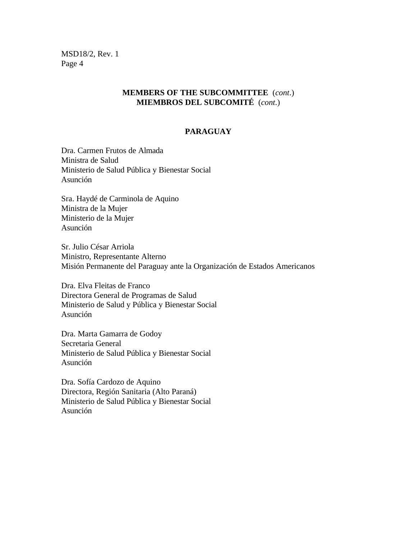### **MEMBERS OF THE SUBCOMMITTEE** (*cont*.) **MIEMBROS DEL SUBCOMITÉ** (*cont*.)

### **PARAGUAY**

Dra. Carmen Frutos de Almada Ministra de Salud Ministerio de Salud Pública y Bienestar Social Asunción

Sra. Haydé de Carminola de Aquino Ministra de la Mujer Ministerio de la Mujer Asunción

Sr. Julio César Arriola Ministro, Representante Alterno Misión Permanente del Paraguay ante la Organización de Estados Americanos

Dra. Elva Fleitas de Franco Directora General de Programas de Salud Ministerio de Salud y Pública y Bienestar Social Asunción

Dra. Marta Gamarra de Godoy Secretaria General Ministerio de Salud Pública y Bienestar Social Asunción

Dra. Sofía Cardozo de Aquino Directora, Región Sanitaria (Alto Paraná) Ministerio de Salud Pública y Bienestar Social Asunción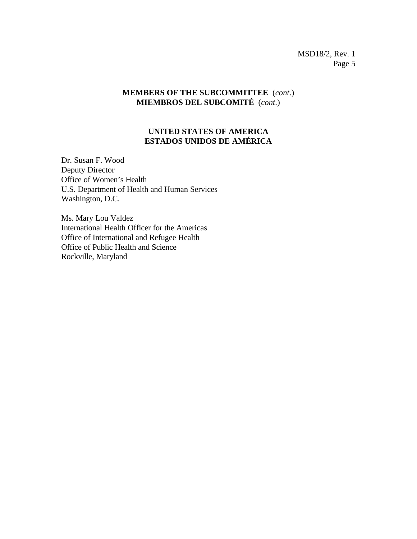### **MEMBERS OF THE SUBCOMMITTEE** (*cont*.) **MIEMBROS DEL SUBCOMITÉ** (*cont*.)

### **UNITED STATES OF AMERICA ESTADOS UNIDOS DE AMÉRICA**

Dr. Susan F. Wood Deputy Director Office of Women's Health U.S. Department of Health and Human Services Washington, D.C.

Ms. Mary Lou Valdez International Health Officer for the Americas Office of International and Refugee Health Office of Public Health and Science Rockville, Maryland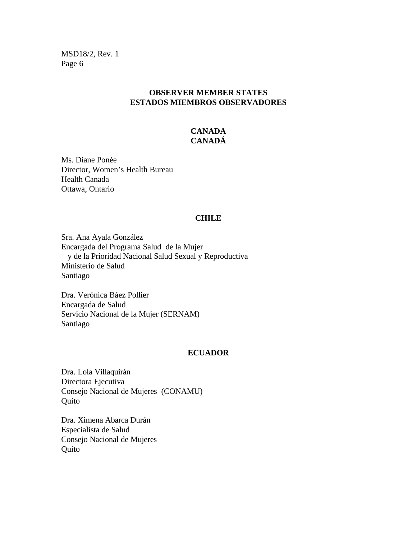### **OBSERVER MEMBER STATES ESTADOS MIEMBROS OBSERVADORES**

# **CANADA CANADÁ**

Ms. Diane Ponée Director, Women's Health Bureau Health Canada Ottawa, Ontario

#### **CHILE**

Sra. Ana Ayala González Encargada del Programa Salud de la Mujer y de la Prioridad Nacional Salud Sexual y Reproductiva Ministerio de Salud Santiago

Dra. Verónica Báez Pollier Encargada de Salud Servicio Nacional de la Mujer (SERNAM) Santiago

#### **ECUADOR**

Dra. Lola Villaquirán Directora Ejecutiva Consejo Nacional de Mujeres (CONAMU) **Quito** 

Dra. Ximena Abarca Durán Especialista de Salud Consejo Nacional de Mujeres Quito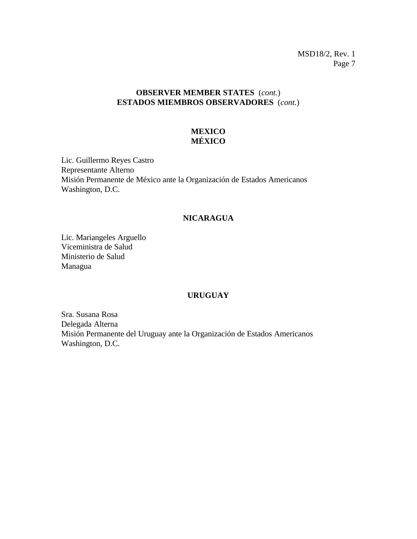# **OBSERVER MEMBER STATES** (*cont.*) **ESTADOS MIEMBROS OBSERVADORES** (*cont.*)

# **MEXICO MÉXICO**

Lic. Guillermo Reyes Castro Representante Alterno Misión Permanente de México ante la Organización de Estados Americanos Washington, D.C.

#### **NICARAGUA**

Lic. Mariangeles Arguello Viceministra de Salud Ministerio de Salud Managua

#### **URUGUAY**

Sra. Susana Rosa Delegada Alterna Misión Permanente del Uruguay ante la Organización de Estados Americanos Washington, D.C.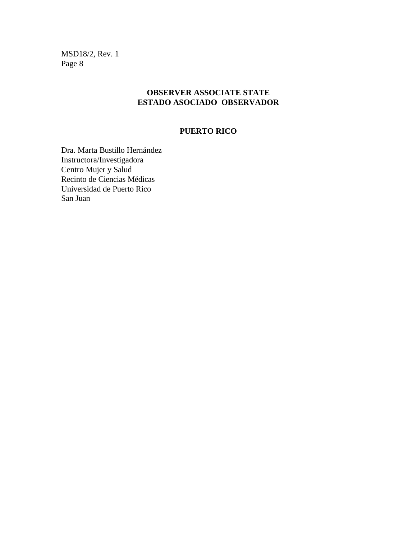### **OBSERVER ASSOCIATE STATE ESTADO ASOCIADO OBSERVADOR**

### **PUERTO RICO**

Dra. Marta Bustillo Hernández Instructora/Investigadora Centro Mujer y Salud Recinto de Ciencias Médicas Universidad de Puerto Rico San Juan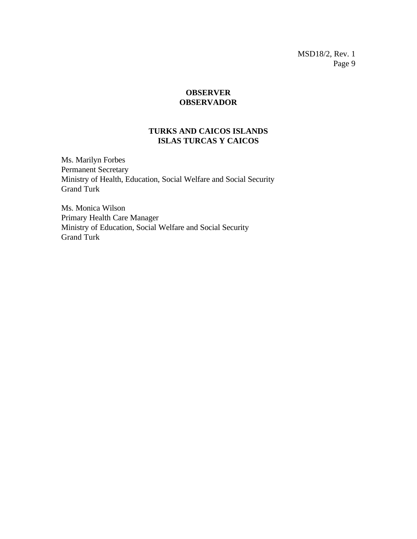### **OBSERVER OBSERVADOR**

### **TURKS AND CAICOS ISLANDS ISLAS TURCAS Y CAICOS**

Ms. Marilyn Forbes Permanent Secretary Ministry of Health, Education, Social Welfare and Social Security Grand Turk

Ms. Monica Wilson Primary Health Care Manager Ministry of Education, Social Welfare and Social Security Grand Turk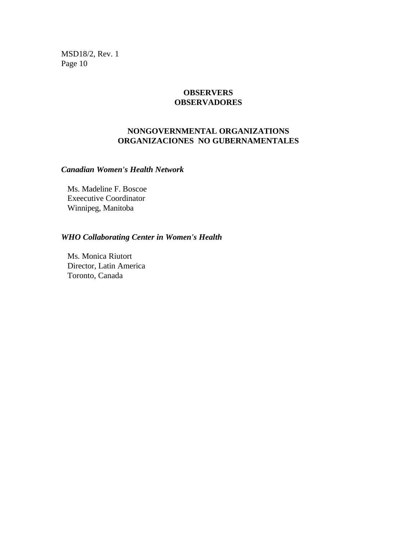### **OBSERVERS OBSERVADORES**

### **NONGOVERNMENTAL ORGANIZATIONS ORGANIZACIONES NO GUBERNAMENTALES**

### *Canadian Women's Health Network*

Ms. Madeline F. Boscoe Exeecutive Coordinator Winnipeg, Manitoba

# *WHO Collaborating Center in Women's Health*

Ms. Monica Riutort Director, Latin America Toronto, Canada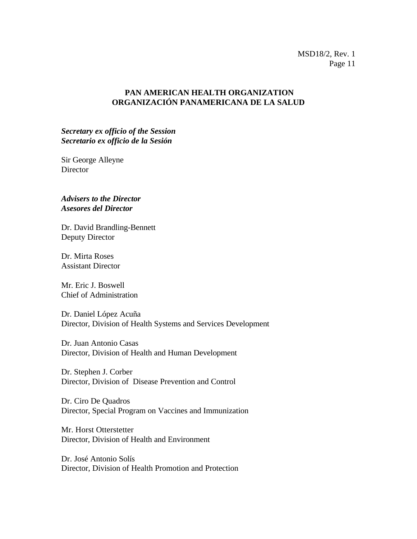### **PAN AMERICAN HEALTH ORGANIZATION ORGANIZACIÓN PANAMERICANA DE LA SALUD**

*Secretary ex officio of the Session Secretario ex officio de la Sesión*

Sir George Alleyne Director

*Advisers to the Director Asesores del Director*

Dr. David Brandling-Bennett Deputy Director

Dr. Mirta Roses Assistant Director

Mr. Eric J. Boswell Chief of Administration

Dr. Daniel López Acuña Director, Division of Health Systems and Services Development

Dr. Juan Antonio Casas Director, Division of Health and Human Development

Dr. Stephen J. Corber Director, Division of Disease Prevention and Control

Dr. Ciro De Quadros Director, Special Program on Vaccines and Immunization

Mr. Horst Otterstetter Director, Division of Health and Environment

Dr. José Antonio Solís Director, Division of Health Promotion and Protection